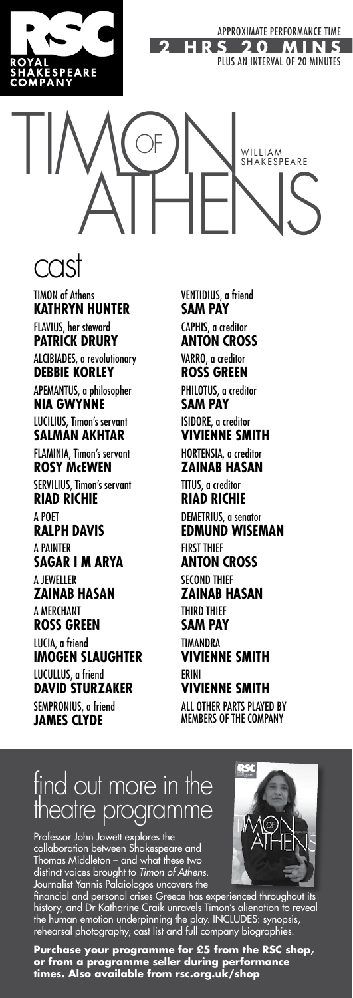

# TIMOR NULLAN OF WILLIAM WILLIAM

#### cast

TIMON of Athens **KATHRYN HUNTER** FLAVIUS, her steward **PATRICK DRURY** ALCIBIADES, a revolutionary **DEBBIE KORLEY** APEMANTUS, a philosopher **NIA GWYNNE** LUCILIUS, Timon's servant **SALMAN AKHTAR** FLAMINIA, Timon's servant **ROSY McEWEN** SERVILIUS, Timon's servant **RIAD RICHIE** A POET **RALPH DAVIS** A PAINTER **SAGAR I M ARYA** A JEWELLER **ZAINAB HASAN** A MERCHANT **ROSS GREEN** LUCIA, a friend **IMOGEN SLAUGHTER** LUCULLUS, a friend **DAVID STURZAKER** SEMPRONIUS, a friend **JAMES CLYDE**

VENTIDIUS, a friend **SAM PAY** CAPHIS, a creditor **ANTON CROSS** VARRO, a creditor **ROSS GREEN** PHILOTUS, a creditor **SAM PAY** ISIDORE, a creditor **VIVIENNE SMITH** HORTENSIA, a creditor **ZAINAB HASAN** TITUS, a creditor **RIAD RICHIE** DEMETRIUS, a senator **EDMUND WISEMAN** FIRST THIEF **ANTON CROSS SECOND THIFF ZAINAB HASAN** THIRD THIEF **SAM PAY TIMANDRA VIVIENNE SMITH** ERINI **VIVIENNE SMITH** ALL OTHER PARTS PLAYED BY MEMBERS OF THE COMPANY

### find out more in the theatre programme

Professor John Jowett explores the collaboration between Shakespeare and Thomas Middleton – and what these two distinct voices brought to *Timon of Athens*. Journalist Yannis Palaiologos uncovers the

financial and personal crises Greece has experienced throughout its history, and Dr Katharine Craik unravels Timon's alienation to reveal the human emotion underpinning the play. INCLUDES: synopsis, rehearsal photography, cast list and full company biographies.

**Purchase your programme for £5 from the RSC shop, or from a programme seller during performance times. Also available from rsc.org.uk/shop**